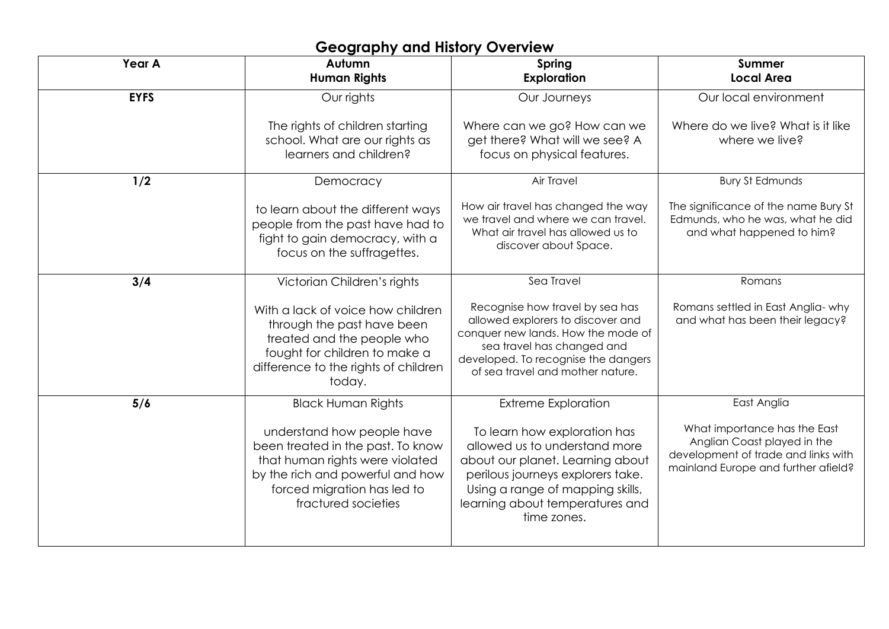## **Geography and History Overview**

| Year A      | Autumn<br><b>Human Rights</b>                                                                                                                                                                | Spring<br><b>Exploration</b>                                                                                                                                                                                                 | <b>Summer</b><br><b>Local Area</b>                                                                                                        |
|-------------|----------------------------------------------------------------------------------------------------------------------------------------------------------------------------------------------|------------------------------------------------------------------------------------------------------------------------------------------------------------------------------------------------------------------------------|-------------------------------------------------------------------------------------------------------------------------------------------|
| <b>EYFS</b> | Our rights                                                                                                                                                                                   | Our Journeys                                                                                                                                                                                                                 | Our local environment                                                                                                                     |
|             | The rights of children starting<br>school. What are our rights as<br>learners and children?                                                                                                  | Where can we go? How can we<br>get there? What will we see? A<br>focus on physical features.                                                                                                                                 | Where do we live? What is it like<br>where we live?                                                                                       |
| 1/2         | Democracy                                                                                                                                                                                    | Air Travel                                                                                                                                                                                                                   | <b>Bury St Edmunds</b>                                                                                                                    |
|             | to learn about the different ways<br>people from the past have had to<br>fight to gain democracy, with a<br>focus on the suffragettes.                                                       | How air travel has changed the way<br>we travel and where we can travel.<br>What air travel has allowed us to<br>discover about Space.                                                                                       | The significance of the name Bury St<br>Edmunds, who he was, what he did<br>and what happened to him?                                     |
| 3/4         | Victorian Children's rights                                                                                                                                                                  | Sea Travel                                                                                                                                                                                                                   | Romans                                                                                                                                    |
|             | With a lack of voice how children<br>through the past have been<br>treated and the people who<br>fought for children to make a<br>difference to the rights of children<br>today.             | Recognise how travel by sea has<br>allowed explorers to discover and<br>conquer new lands. How the mode of<br>sea travel has changed and<br>developed. To recognise the dangers<br>of sea travel and mother nature.          | Romans settled in East Anglia- why<br>and what has been their legacy?                                                                     |
| 5/6         | <b>Black Human Rights</b>                                                                                                                                                                    | <b>Extreme Exploration</b>                                                                                                                                                                                                   | East Anglia                                                                                                                               |
|             | understand how people have<br>been treated in the past. To know<br>that human rights were violated<br>by the rich and powerful and how<br>forced migration has led to<br>fractured societies | To learn how exploration has<br>allowed us to understand more<br>about our planet. Learning about<br>perilous journeys explorers take.<br>Using a range of mapping skills,<br>learning about temperatures and<br>time zones. | What importance has the East<br>Anglian Coast played in the<br>development of trade and links with<br>mainland Europe and further afield? |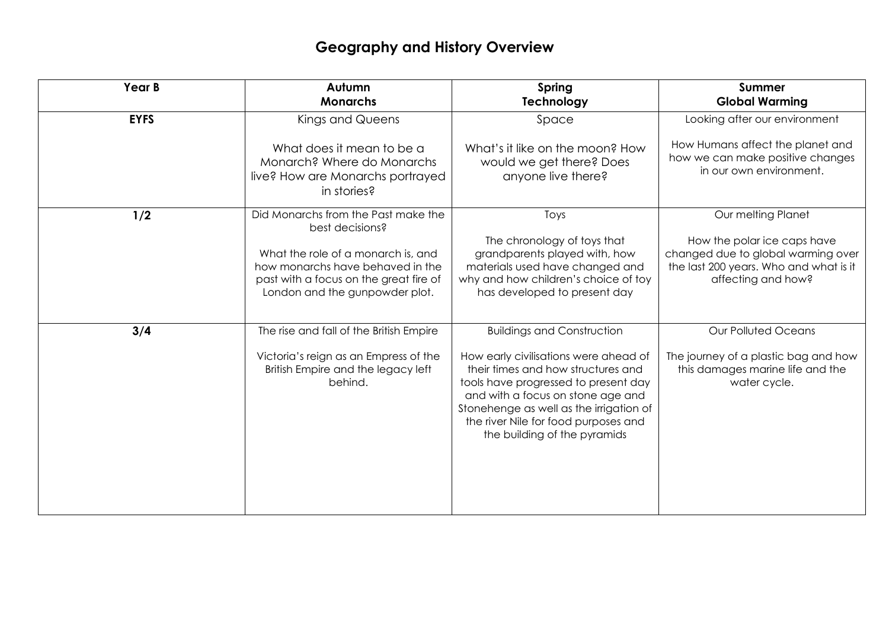## **Geography and History Overview**

| Year B      | Autumn<br><b>Monarchs</b>                                                                                                                          | Spring<br>Technology                                                                                                                                                                                                                                                                                             | <b>Summer</b><br><b>Global Warming</b>                                                                                            |
|-------------|----------------------------------------------------------------------------------------------------------------------------------------------------|------------------------------------------------------------------------------------------------------------------------------------------------------------------------------------------------------------------------------------------------------------------------------------------------------------------|-----------------------------------------------------------------------------------------------------------------------------------|
| <b>EYFS</b> | Kings and Queens                                                                                                                                   | Space                                                                                                                                                                                                                                                                                                            | Looking after our environment                                                                                                     |
|             | What does it mean to be a<br>Monarch? Where do Monarchs<br>live? How are Monarchs portrayed<br>in stories?                                         | What's it like on the moon? How<br>would we get there? Does<br>anyone live there?                                                                                                                                                                                                                                | How Humans affect the planet and<br>how we can make positive changes<br>in our own environment.                                   |
| 1/2         | Did Monarchs from the Past make the<br>best decisions?                                                                                             | Toys                                                                                                                                                                                                                                                                                                             | Our melting Planet                                                                                                                |
|             | What the role of a monarch is, and<br>how monarchs have behaved in the<br>past with a focus on the great fire of<br>London and the gunpowder plot. | The chronology of toys that<br>grandparents played with, how<br>materials used have changed and<br>why and how children's choice of toy<br>has developed to present day                                                                                                                                          | How the polar ice caps have<br>changed due to global warming over<br>the last 200 years. Who and what is it<br>affecting and how? |
| 3/4         | The rise and fall of the British Empire<br>Victoria's reign as an Empress of the<br>British Empire and the legacy left<br>behind.                  | <b>Buildings and Construction</b><br>How early civilisations were ahead of<br>their times and how structures and<br>tools have progressed to present day<br>and with a focus on stone age and<br>Stonehenge as well as the irrigation of<br>the river Nile for food purposes and<br>the building of the pyramids | <b>Our Polluted Oceans</b><br>The journey of a plastic bag and how<br>this damages marine life and the<br>water cycle.            |